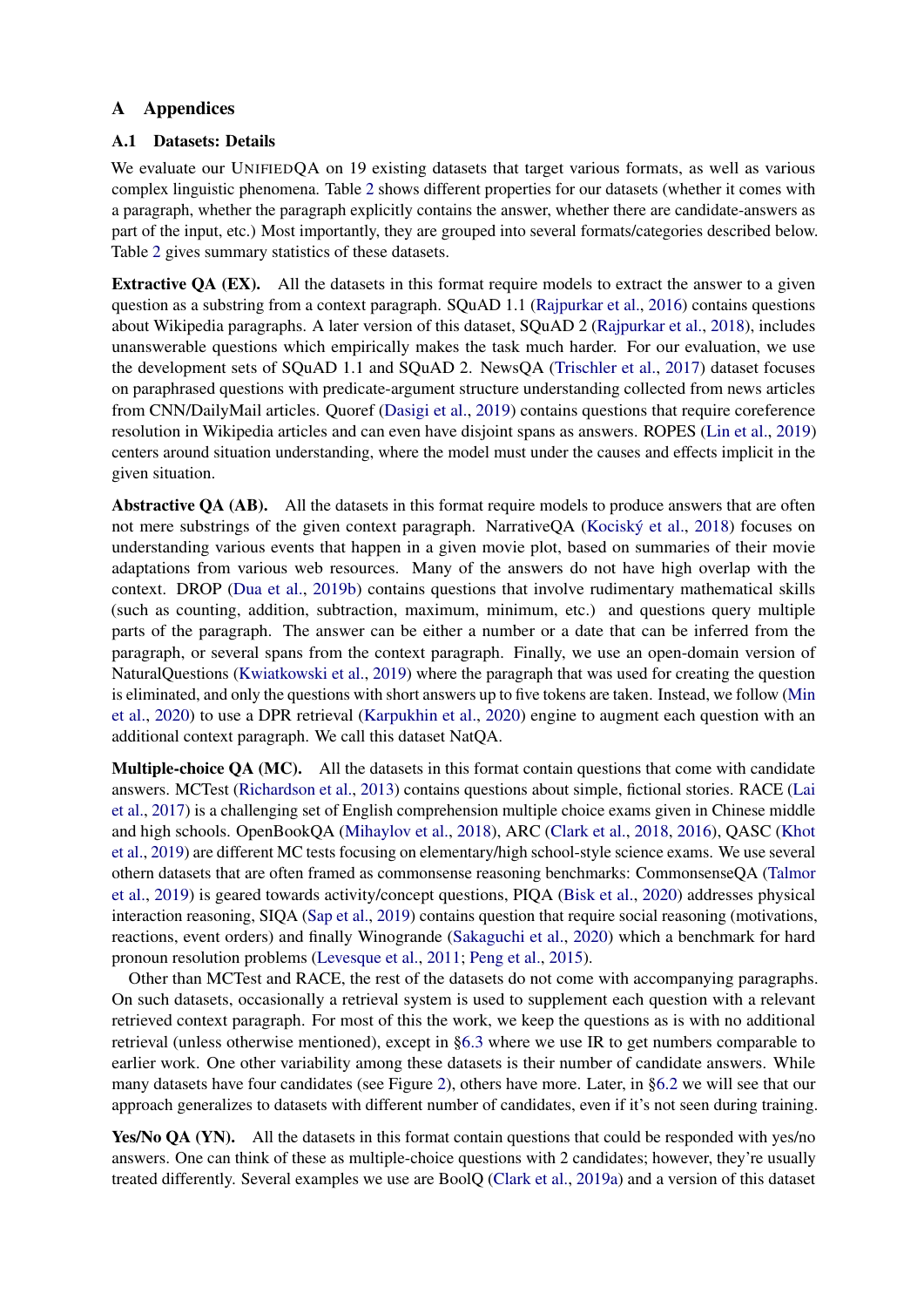# A Appendices

### A.1 Datasets: Details

We evaluate our UNIFIEDQA on 19 existing datasets that target various formats, as well as various complex linguistic phenomena. Table 2 shows different properties for our datasets (whether it comes with a paragraph, whether the paragraph explicitly contains the answer, whether there are candidate-answers as part of the input, etc.) Most importantly, they are grouped into several formats/categories described below. Table 2 gives summary statistics of these datasets.

**Extractive QA (EX).** All the datasets in this format require models to extract the answer to a given question as a substring from a context paragraph. SQuAD 1.1 (Rajpurkar et al., 2016) contains questions about Wikipedia paragraphs. A later version of this dataset, SQuAD 2 (Rajpurkar et al., 2018), includes unanswerable questions which empirically makes the task much harder. For our evaluation, we use the development sets of SQuAD 1.1 and SQuAD 2. NewsQA (Trischler et al., 2017) dataset focuses on paraphrased questions with predicate-argument structure understanding collected from news articles from CNN/DailyMail articles. Quoref (Dasigi et al., 2019) contains questions that require coreference resolution in Wikipedia articles and can even have disjoint spans as answers. ROPES (Lin et al., 2019) centers around situation understanding, where the model must under the causes and effects implicit in the given situation.

Abstractive QA (AB). All the datasets in this format require models to produce answers that are often not mere substrings of the given context paragraph. NarrativeQA (Kociský et al., 2018) focuses on understanding various events that happen in a given movie plot, based on summaries of their movie adaptations from various web resources. Many of the answers do not have high overlap with the context. DROP (Dua et al., 2019b) contains questions that involve rudimentary mathematical skills (such as counting, addition, subtraction, maximum, minimum, etc.) and questions query multiple parts of the paragraph. The answer can be either a number or a date that can be inferred from the paragraph, or several spans from the context paragraph. Finally, we use an open-domain version of NaturalQuestions (Kwiatkowski et al., 2019) where the paragraph that was used for creating the question is eliminated, and only the questions with short answers up to five tokens are taken. Instead, we follow (Min et al., 2020) to use a DPR retrieval (Karpukhin et al., 2020) engine to augment each question with an additional context paragraph. We call this dataset NatQA.

Multiple-choice QA (MC). All the datasets in this format contain questions that come with candidate answers. MCTest (Richardson et al., 2013) contains questions about simple, fictional stories. RACE (Lai et al., 2017) is a challenging set of English comprehension multiple choice exams given in Chinese middle and high schools. OpenBookQA (Mihaylov et al., 2018), ARC (Clark et al., 2018, 2016), QASC (Khot et al., 2019) are different MC tests focusing on elementary/high school-style science exams. We use several othern datasets that are often framed as commonsense reasoning benchmarks: CommonsenseQA (Talmor et al., 2019) is geared towards activity/concept questions, PIQA (Bisk et al., 2020) addresses physical interaction reasoning, SIQA (Sap et al., 2019) contains question that require social reasoning (motivations, reactions, event orders) and finally Winogrande (Sakaguchi et al., 2020) which a benchmark for hard pronoun resolution problems (Levesque et al., 2011; Peng et al., 2015).

Other than MCTest and RACE, the rest of the datasets do not come with accompanying paragraphs. On such datasets, occasionally a retrieval system is used to supplement each question with a relevant retrieved context paragraph. For most of this the work, we keep the questions as is with no additional retrieval (unless otherwise mentioned), except in §6.3 where we use IR to get numbers comparable to earlier work. One other variability among these datasets is their number of candidate answers. While many datasets have four candidates (see Figure 2), others have more. Later, in §6.2 we will see that our approach generalizes to datasets with different number of candidates, even if it's not seen during training.

Yes/No QA (YN). All the datasets in this format contain questions that could be responded with yes/no answers. One can think of these as multiple-choice questions with 2 candidates; however, they're usually treated differently. Several examples we use are BoolQ (Clark et al., 2019a) and a version of this dataset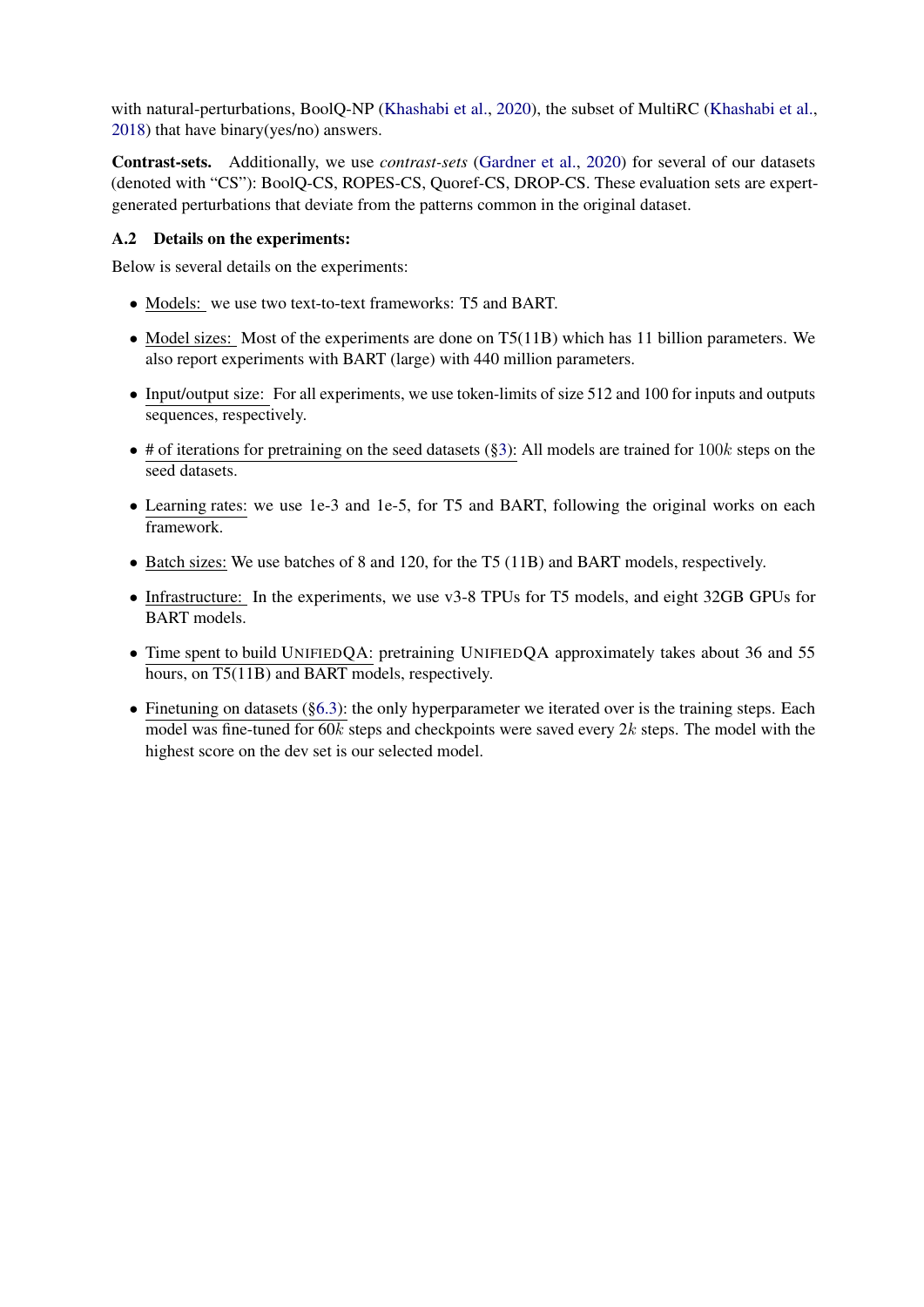with natural-perturbations, BoolQ-NP (Khashabi et al., 2020), the subset of MultiRC (Khashabi et al., 2018) that have binary(yes/no) answers.

Contrast-sets. Additionally, we use *contrast-sets* (Gardner et al., 2020) for several of our datasets (denoted with "CS"): BoolQ-CS, ROPES-CS, Quoref-CS, DROP-CS. These evaluation sets are expertgenerated perturbations that deviate from the patterns common in the original dataset.

## A.2 Details on the experiments:

Below is several details on the experiments:

- Models: we use two text-to-text frameworks: T5 and BART.
- Model sizes: Most of the experiments are done on T5(11B) which has 11 billion parameters. We also report experiments with BART (large) with 440 million parameters.
- Input/output size: For all experiments, we use token-limits of size 512 and 100 for inputs and outputs sequences, respectively.
- # of iterations for pretraining on the seed datasets (§3): All models are trained for  $100k$  steps on the seed datasets.
- Learning rates: we use 1e-3 and 1e-5, for T5 and BART, following the original works on each framework.
- Batch sizes: We use batches of 8 and 120, for the T5 (11B) and BART models, respectively.
- Infrastructure: In the experiments, we use v3-8 TPUs for T5 models, and eight 32GB GPUs for BART models.
- Time spent to build UNIFIEDQA: pretraining UNIFIEDQA approximately takes about 36 and 55 hours, on T5(11B) and BART models, respectively.
- Finetuning on datasets  $(\S6.3)$ : the only hyperparameter we iterated over is the training steps. Each model was fine-tuned for  $60k$  steps and checkpoints were saved every 2k steps. The model with the highest score on the dev set is our selected model.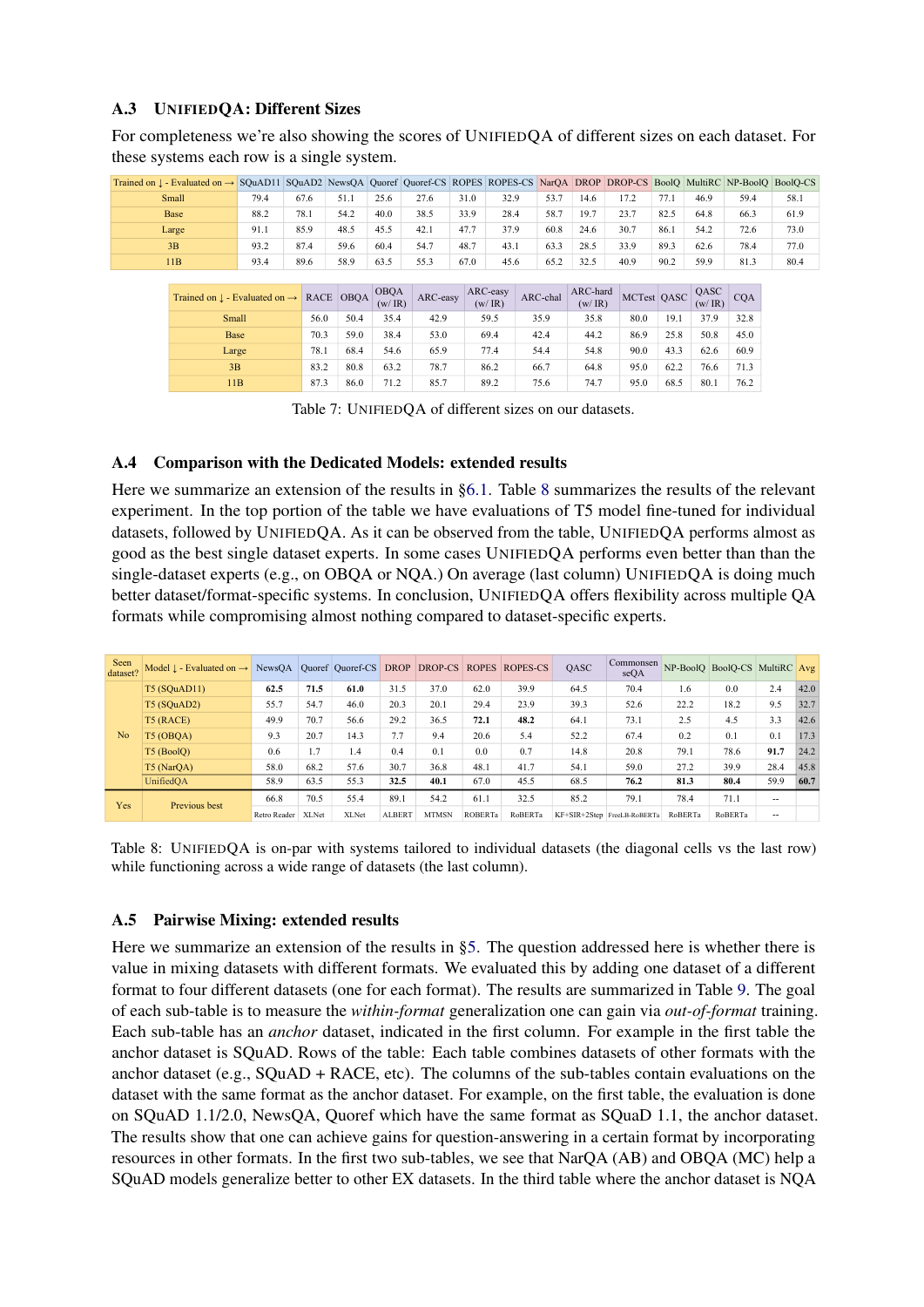## A.3 UNIFIEDQA: Different Sizes

For completeness we're also showing the scores of UNIFIEDQA of different sizes on each dataset. For these systems each row is a single system.

|       |                                                 |      |      |           |                |          |      |                    |          |                    | Trained on ↓ - Evaluated on → SQuAD11 SQuAD2 NewsOA Quoref Quoref-CS ROPES ROPES-CS NarQA DROP DROP-CS BoolQ MultiRC NP-BoolQ BoolQ-CS |             |                |            |      |
|-------|-------------------------------------------------|------|------|-----------|----------------|----------|------|--------------------|----------|--------------------|----------------------------------------------------------------------------------------------------------------------------------------|-------------|----------------|------------|------|
| Small |                                                 | 79.4 | 67.6 | 51.1      | 25.6           | 27.6     | 31.0 | 32.9               | 53.7     | 14.6               | 17.2                                                                                                                                   | 77.1        | 46.9           | 59.4       | 58.1 |
| Base  |                                                 | 88.2 | 78.1 | 54.2      | 40.0           | 38.5     | 33.9 | 28.4               | 58.7     | 19.7               | 23.7                                                                                                                                   | 82.5        | 64.8           | 66.3       | 61.9 |
| Large |                                                 | 91.1 | 85.9 | 48.5      | 45.5           | 42.1     | 47.7 | 37.9               | 60.8     | 24.6               | 30.7                                                                                                                                   | 86.1        | 54.2           | 72.6       |      |
| 3B    |                                                 | 93.2 | 87.4 | 59.6      | 60.4           | 54.7     | 48.7 | 43.1               | 63.3     | 28.5               | 33.9                                                                                                                                   | 89.3        | 62.6           | 78.4       | 77.0 |
|       | 11B                                             | 93.4 | 89.6 | 58.9      | 63.5           | 55.3     | 67.0 | 45.6               | 65.2     | 32.5<br>40.9       |                                                                                                                                        | 90.2        | 59.9           | 81.3       | 80.4 |
|       |                                                 |      |      |           |                |          |      |                    |          |                    |                                                                                                                                        |             |                |            |      |
|       | Trained on $\perp$ - Evaluated on $\rightarrow$ |      |      | RACE OBOA | OBQA<br>(w/IR) | ARC-easy |      | ARC-easy<br>(w/IR) | ARC-chal | ARC-hard<br>(w/IR) |                                                                                                                                        | MCTest QASC | QASC<br>(w/IR) | <b>COA</b> |      |
|       | Small                                           |      | 56.0 | 50.4      | 35.4           | 42.9     |      | 59.5               | 35.9     | 35.8               | 80.0                                                                                                                                   | 19.1        | 37.9           | 32.8       |      |
|       | Base                                            |      | 70.3 | 59.0      | 38.4           | 53.0     |      | 69.4               | 42.4     | 44.2               | 86.9                                                                                                                                   | 25.8        | 50.8           | 45.0       |      |
|       | Large                                           |      | 78.1 | 68.4      | 54.6           | 65.9     |      | 77.4               | 54.4     | 54.8               | 90.0                                                                                                                                   | 43.3        | 62.6           | 60.9       |      |
|       | 3B                                              |      | 83.2 | 80.8      | 63.2           | 78.7     |      | 86.2               | 66.7     | 64.8               | 95.0                                                                                                                                   | 62.2        | 76.6           | 71.3       |      |
|       | 11B                                             |      | 87.3 | 86.0      | 71.2           | 85.7     |      | 89.2               | 75.6     | 74.7               | 95.0                                                                                                                                   | 68.5        | 80.1           | 76.2       |      |

Table 7: UNIFIEDQA of different sizes on our datasets.

### A.4 Comparison with the Dedicated Models: extended results

Here we summarize an extension of the results in §6.1. Table [8](#page-2-0) summarizes the results of the relevant experiment. In the top portion of the table we have evaluations of T5 model fine-tuned for individual datasets, followed by UNIFIEDQA. As it can be observed from the table, UNIFIEDQA performs almost as good as the best single dataset experts. In some cases UNIFIEDQA performs even better than than the single-dataset experts (e.g., on OBQA or NQA.) On average (last column) UNIFIEDQA is doing much better dataset/format-specific systems. In conclusion, UNIFIEDQA offers flexibility across multiple QA formats while compromising almost nothing compared to dataset-specific experts.

<span id="page-2-0"></span>

| Seen<br>dataset? | Model $\downarrow$ - Evaluated on $\rightarrow$ | NewsOA       |       | Quoref Quoref-CS DROP |               | DROP-CS      | <b>ROPES</b> | ROPES-CS | <b>QASC</b> | Commonsen<br>seOA           |         | NP-BoolO BoolO-CS MultiRC Avg |                          |      |
|------------------|-------------------------------------------------|--------------|-------|-----------------------|---------------|--------------|--------------|----------|-------------|-----------------------------|---------|-------------------------------|--------------------------|------|
| N <sub>o</sub>   | T5 (SQuAD11)                                    | 62.5         | 71.5  | 61.0                  | 31.5          | 37.0         | 62.0         | 39.9     | 64.5        | 70.4                        | 1.6     | 0.0                           | 2.4                      | 42.0 |
|                  | T5 (SQuAD2)                                     | 55.7         | 54.7  | 46.0                  | 20.3          | 20.1         | 29.4         | 23.9     | 39.3        | 52.6                        | 22.2    | 18.2                          | 9.5                      | 32.7 |
|                  | T <sub>5</sub> (RACE)                           | 49.9         | 70.7  | 56.6                  | 29.2          | 36.5         | 72.1         | 48.2     | 64.1        | 73.1                        | 2.5     | 4.5                           | 3.3                      | 42.6 |
|                  | T5 (OBOA)                                       | 9.3          | 20.7  | 14.3                  | 7.7           | 9.4          | 20.6         | 5.4      | 52.2        | 67.4                        | 0.2     | 0.1                           | 0.1                      | 17.3 |
|                  | T5 (Bool)                                       | 0.6          | 1.7   | 1.4                   | 0.4           | 0.1          | 0.0          | 0.7      | 14.8        | 20.8                        | 79.1    | 78.6                          | 91.7                     | 24.2 |
|                  | $T5$ (NarQA)                                    | 58.0         | 68.2  | 57.6                  | 30.7          | 36.8         | 48.1         | 41.7     | 54.1        | 59.0                        | 27.2    | 39.9                          | 28.4                     | 45.8 |
|                  | UnifiedOA                                       | 58.9         | 63.5  | 55.3                  | 32.5          | 40.1         | 67.0         | 45.5     | 68.5        | 76.2                        | 81.3    | 80.4                          | 59.9                     | 60.7 |
| Yes              |                                                 | 66.8         | 70.5  | 55.4                  | 89.1          | 54.2         | 61.1         | 32.5     | 85.2        | 79.1                        | 78.4    | 71.1                          | $\overline{\phantom{a}}$ |      |
|                  | Previous best                                   | Retro Reader | XLNet | <b>XLNet</b>          | <b>ALBERT</b> | <b>MTMSN</b> | ROBERTa      | RoBERTa  |             | KF+SIR+2Step FreeLB-RoBERTa | RoBERTa | RoBERTa                       | $-$                      |      |

Table 8: UNIFIEDQA is on-par with systems tailored to individual datasets (the diagonal cells vs the last row) while functioning across a wide range of datasets (the last column).

### A.5 Pairwise Mixing: extended results

Here we summarize an extension of the results in §5. The question addressed here is whether there is value in mixing datasets with different formats. We evaluated this by adding one dataset of a different format to four different datasets (one for each format). The results are summarized in Table [9.](#page-3-0) The goal of each sub-table is to measure the *within-format* generalization one can gain via *out-of-format* training. Each sub-table has an *anchor* dataset, indicated in the first column. For example in the first table the anchor dataset is SQuAD. Rows of the table: Each table combines datasets of other formats with the anchor dataset (e.g.,  $SQuAD + RACE$ , etc). The columns of the sub-tables contain evaluations on the dataset with the same format as the anchor dataset. For example, on the first table, the evaluation is done on SQuAD 1.1/2.0, NewsQA, Quoref which have the same format as SQuaD 1.1, the anchor dataset. The results show that one can achieve gains for question-answering in a certain format by incorporating resources in other formats. In the first two sub-tables, we see that NarQA (AB) and OBQA (MC) help a SQuAD models generalize better to other EX datasets. In the third table where the anchor dataset is NQA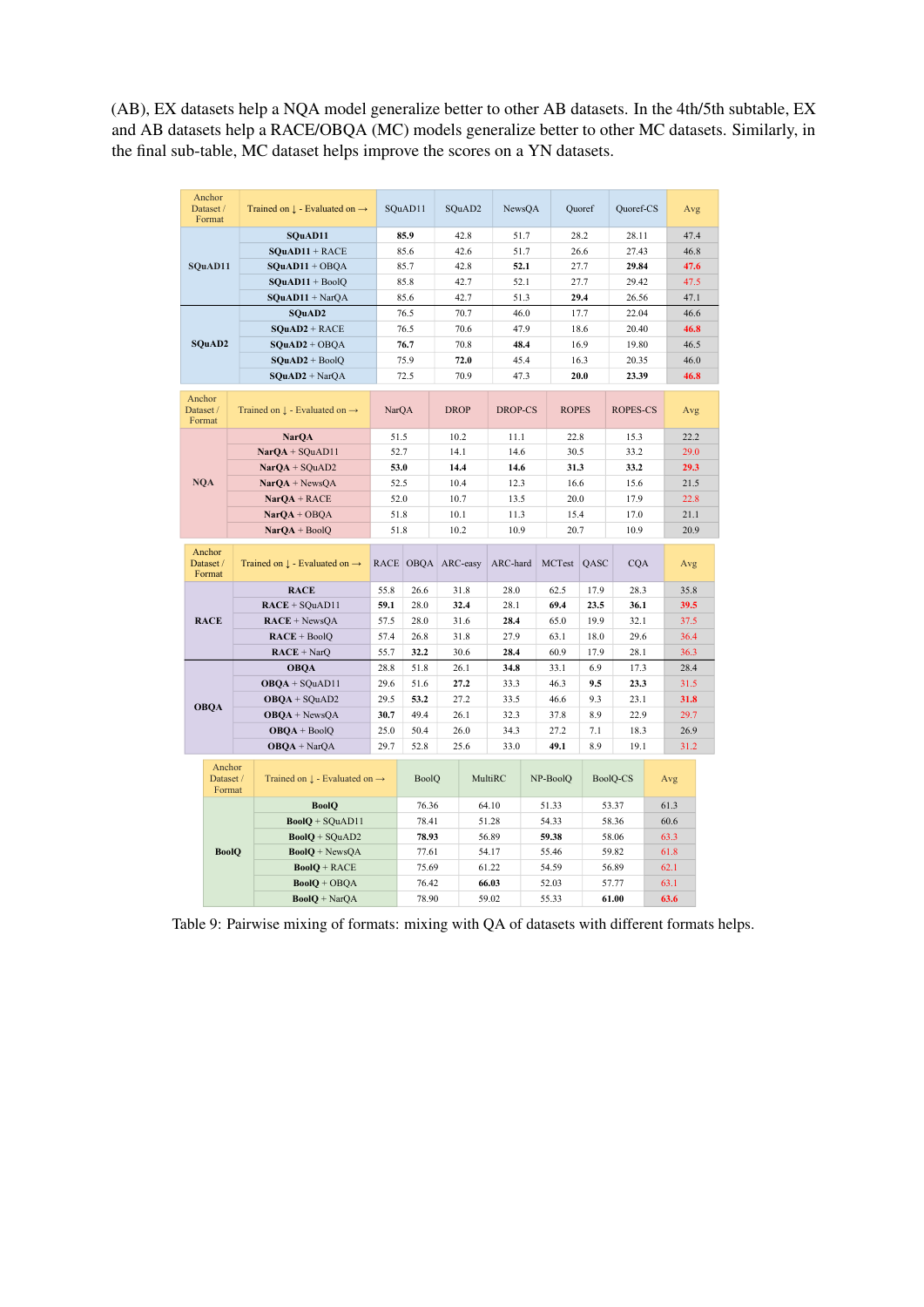<span id="page-3-0"></span>(AB), EX datasets help a NQA model generalize better to other AB datasets. In the 4th/5th subtable, EX and AB datasets help a RACE/OBQA (MC) models generalize better to other MC datasets. Similarly, in the final sub-table, MC dataset helps improve the scores on a YN datasets.

|                                                     | Anchor<br>Dataset /<br>Format | Trained on $\downarrow$ - Evaluated on $\rightarrow$ |      | SQuAD2<br>SQuAD11  |             |              | NewsQA       |          | Quoref         |              | Quoref-CS  |      | Avg  |  |
|-----------------------------------------------------|-------------------------------|------------------------------------------------------|------|--------------------|-------------|--------------|--------------|----------|----------------|--------------|------------|------|------|--|
| SQuAD11                                             |                               | SQuAD11                                              |      | 85.9               |             | 42.8         | 51.7         |          |                | 28.2         | 28.11      |      | 47.4 |  |
|                                                     |                               | $SOuAD11 + RACE$                                     |      | 85.6               |             | 42.6         | 51.7         |          | 26.6           |              | 27.43      |      | 46.8 |  |
|                                                     |                               | $SQuAD11 + OBQA$                                     | 85.7 |                    |             | 42.8         |              | 52.1     |                | 27.7         | 29.84      |      | 47.6 |  |
|                                                     |                               | $SQuAD11 + BoolQ$                                    | 85.8 |                    |             | 42.7         | 52.1         |          | 27.7           |              | 29.42      |      | 47.5 |  |
|                                                     |                               | $SQuAD11 + NarQA$                                    | 85.6 |                    |             | 42.7         | 51.3         |          | 29.4           |              | 26.56      |      | 47.1 |  |
| SOuAD2                                              |                               |                                                      |      | 76.5               |             | 70.7         | 46.0         | 17.7     |                |              | 22.04      |      | 46.6 |  |
|                                                     |                               | $SQuAD2 + RACE$                                      |      | 76.5               | 70.6        |              | 47.9         |          | 18.6           |              | 20.40      |      | 46.8 |  |
| SOuAD2                                              |                               | $SOuAD2 + OBOA$                                      | 76.7 |                    |             | 70.8         | 48.4         |          |                | 16.9         | 19.80      |      | 46.5 |  |
|                                                     |                               | $SQuAD2 + BoolQ$                                     |      | 75.9               |             | 72.0         | 45.4         |          |                | 16.3         | 20.35      |      | 46.0 |  |
|                                                     |                               | $SOuAD2 + NarQA$                                     |      | 72.5               |             | 70.9         | 47.3         |          |                | 20.0         | 23.39      |      | 46.8 |  |
|                                                     |                               |                                                      |      |                    |             |              |              |          |                |              |            |      |      |  |
| Anchor<br>Dataset /<br>Format                       |                               | Trained on $\downarrow$ - Evaluated on $\rightarrow$ |      | <b>NarOA</b>       | <b>DROP</b> |              |              | DROP-CS  |                | <b>ROPES</b> | ROPES-CS   |      | Avg  |  |
|                                                     |                               | <b>NarOA</b>                                         | 51.5 |                    | 10.2        |              | 11.1         |          |                | 22.8         | 15.3       |      | 22.2 |  |
|                                                     |                               | $NarQA + SQuAD11$                                    | 52.7 |                    |             | 14.1<br>14.6 |              |          | 30.5           |              | 33.2       |      | 29.0 |  |
|                                                     |                               | $NarQA + SQuAD2$                                     | 53.0 |                    | 14.4        |              |              | 14.6     |                | 31.3         | 33.2       |      | 29.3 |  |
| <b>NOA</b>                                          |                               | $NarQA + NewsQA$                                     | 52.5 |                    | 10.4        |              | 12.3         |          |                | 16.6         | 15.6       |      | 21.5 |  |
| $NarQA + RACE$<br>$NarQA + OBQA$<br>$NarOA + BoolO$ |                               |                                                      | 52.0 |                    | 10.7        | 13.5         |              |          | 20.0           |              | 17.9       |      | 22.8 |  |
|                                                     |                               |                                                      | 51.8 |                    | 10.1        | 11.3         |              |          | 15.4           |              | 17.0       |      | 21.1 |  |
|                                                     |                               | 51.8                                                 |      | 10.2               |             |              | 10.9<br>20.7 |          |                | 10.9         |            | 20.9 |      |  |
|                                                     | Anchor<br>Dataset /<br>Format | Trained on $\downarrow$ - Evaluated on $\rightarrow$ |      | RACE OBQA ARC-easy |             | ARC-hard     |              |          | MCTest<br>QASC |              | <b>CQA</b> |      | Avg  |  |
|                                                     |                               | <b>RACE</b>                                          | 55.8 | 26.6               |             | 31.8         | 28.0         |          | 62.5           | 17.9         | 28.3       |      | 35.8 |  |
|                                                     |                               | RACE + SQuAD11                                       | 59.1 | 28.0               |             | 32.4         | 28.1         |          | 69.4           | 23.5         | 36.1       |      | 39.5 |  |
|                                                     | <b>RACE</b>                   | $RACE + NewsOA$                                      | 57.5 | 28.0               |             | 31.6         | 28.4         |          | 65.0           | 19.9         | 32.1       |      | 37.5 |  |
|                                                     |                               | $RACE + BoolQ$                                       | 57.4 | 26.8               |             | 31.8         | 27.9         |          | 63.1<br>18.0   |              | 29.6       |      | 36.4 |  |
|                                                     |                               | $RACE + NarQ$                                        | 55.7 | 32.2               |             | 30.6         | 28.4         | 60.9     |                | 17.9         | 28.1       |      | 36.3 |  |
|                                                     |                               | <b>OBOA</b>                                          | 28.8 | 51.8               |             | 26.1         | 34.8         |          | 33.1           | 6.9          | 17.3       |      | 28.4 |  |
|                                                     |                               | $OBQA + SQuAD11$                                     | 29.6 | 51.6               |             | 27.2         | 33.3         | 46.3     |                | 9.5          | 23.3       |      | 31.5 |  |
|                                                     | <b>OBOA</b>                   | $OBQA + SQuAD2$                                      | 29.5 | 53.2               |             | 27.2         | 33.5         |          | 9.3<br>46.6    |              | 23.1       |      | 31.8 |  |
|                                                     |                               | $OBOA + NewsOA$                                      | 30.7 | 49.4               | 26.1        |              | 32.3         |          | 37.8<br>8.9    |              | 22.9       |      | 29.7 |  |
|                                                     |                               | $OBQA + BoolQ$                                       | 25.0 | 50.4               |             | 26.0         | 34.3         |          | 27.2           | 7.1          | 18.3       |      | 26.9 |  |
|                                                     |                               | $OBQA + NarQA$                                       |      | 52.8               |             | 25.6         | 33.0         |          | 49.1           | 8.9          | 19.1       |      | 31.2 |  |
|                                                     | Anchor<br>Dataset /<br>Format | Trained on $\downarrow$ - Evaluated on $\rightarrow$ |      | <b>BoolQ</b>       |             | MultiRC      |              | NP-BoolQ |                | BoolQ-CS     |            |      | Avg  |  |
|                                                     |                               | <b>BoolO</b>                                         |      | 76.36              |             |              | 64.10        |          | 51.33          |              | 53.37      |      | 61.3 |  |
|                                                     |                               | $BoolQ + SQuAD11$                                    |      | 78.41              |             |              | 51.28        |          | 54.33          |              | 58.36      |      | 60.6 |  |
| <b>BoolQ</b>                                        |                               | $BoolQ + SQuAD2$                                     |      | 78.93              |             |              | 56.89        | 59.38    |                |              | 58.06      |      | 63.3 |  |
|                                                     |                               | $BoolQ + NewsQA$                                     |      | 77.61              |             |              | 54.17        | 55.46    |                |              | 59.82      |      | 61.8 |  |
|                                                     |                               | $BoolQ + RACE$                                       |      | 75.69              |             | 61.22        |              | 54.59    |                |              | 56.89      |      | 62.1 |  |
|                                                     |                               | $BoolQ + OBQA$                                       |      | 76.42              |             | 66.03        |              | 52.03    |                |              | 57.77      |      | 63.1 |  |
|                                                     |                               | $BoolO + NarOA$                                      |      | 78.90              |             | 59.02        |              | 55.33    |                | 61.00        |            |      | 63.6 |  |

Table 9: Pairwise mixing of formats: mixing with QA of datasets with different formats helps.